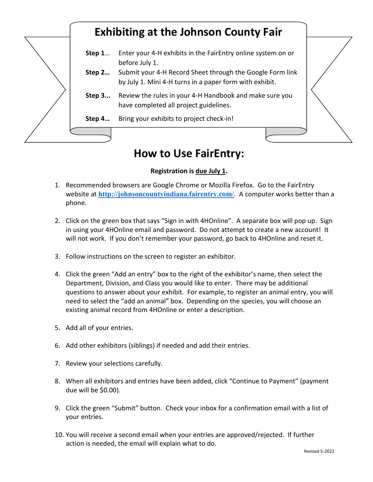## **Exhibiting at the Johnson County Fair**

- **Step 1**… Enter your 4-H exhibits in the FairEntry online system on or before July 1.
- **Step 2…** Submit your 4-H Record Sheet through the Google Form link by July 1. Mini 4-H turns in a paper form with exhibit.
- **Step 3...** Review the rules in your 4-H Handbook and make sure you have completed all project guidelines.
- **Step 4…** Bring your exhibits to project check-in!



## **How to Use FairEntry:**

## **Registration is due July 1.**

- 1. Recommended browsers are Google Chrome or Mozilla Firefox. Go to the FairEntry website at **<http://johnsoncountyindiana.fairentry.com/>**. A computer works better than a phone.
- 2. Click on the green box that says "Sign in with 4HOnline". A separate box will pop up. Sign in using your 4HOnline email and password. Do not attempt to create a new account! It will not work. If you don't remember your password, go back to 4HOnline and reset it.
- 3. Follow instructions on the screen to register an exhibitor.
- 4. Click the green "Add an entry" box to the right of the exhibitor's name, then select the Department, Division, and Class you would like to enter. There may be additional questions to answer about your exhibit. For example, to register an animal entry, you will need to select the "add an animal" box. Depending on the species, you will choose an existing animal record from 4HOnline or enter a description.
- 5. Add all of your entries.
- 6. Add other exhibitors (siblings) if needed and add their entries.
- 7. Review your selections carefully.
- 8. When all exhibitors and entries have been added, click "Continue to Payment" (payment due will be \$0.00).
- 9. Click the green "Submit" button. Check your inbox for a confirmation email with a list of your entries.
- 10. You will receive a second email when your entries are approved/rejected. If further action is needed, the email will explain what to do.